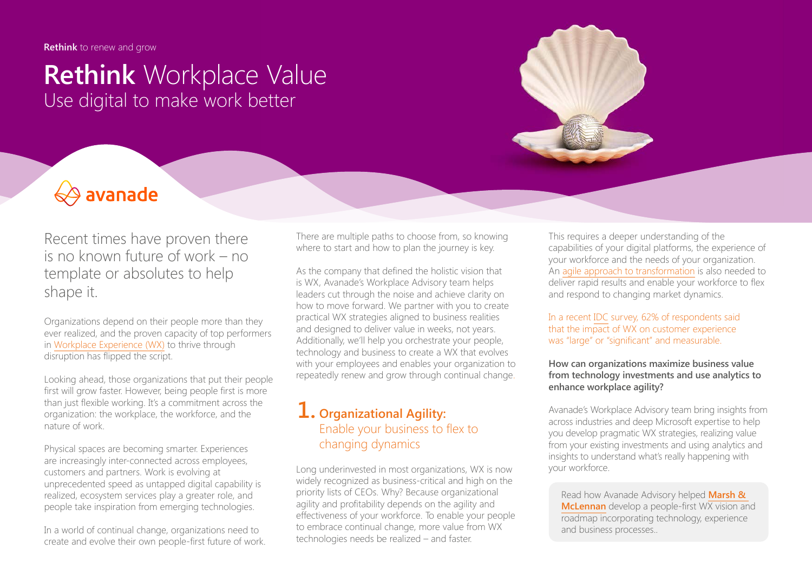**Rethink** to renew and grow

## **Rethink** Workplace Value Use digital to make work better

# **♦ avanade**

Recent times have proven there is no known future of work – no template or absolutes to help shape it.

Organizations depend on their people more than they ever realized, and the proven capacity of top performers in [Workplace Experience \(WX\)](https://www.avanade.com/en/thinking/workplace-experience) to thrive through disruption has flipped the script.

Looking ahead, those organizations that put their people first will grow faster. However, being people first is more than just flexible working. It's a commitment across the organization: the workplace, the workforce, and the nature of work.

Physical spaces are becoming smarter. Experiences are increasingly inter-connected across employees, customers and partners. Work is evolving at unprecedented speed as untapped digital capability is realized, ecosystem services play a greater role, and people take inspiration from emerging technologies.

In a world of continual change, organizations need to create and evolve their own people-first future of work. There are multiple paths to choose from, so knowing where to start and how to plan the journey is key.

As the company that defined the holistic vision that is WX, Avanade's Workplace Advisory team helps leaders cut through the noise and achieve clarity on how to move forward. We partner with you to create practical WX strategies aligned to business realities and designed to deliver value in weeks, not years. Additionally, we'll help you orchestrate your people, technology and business to create a WX that evolves with your employees and enables your organization to repeatedly renew and grow through continual change.

## **1. Organizational Agility:** Enable your business to flex to changing dynamics

Long underinvested in most organizations, WX is now widely recognized as business-critical and high on the priority lists of CEOs. Why? Because organizational agility and profitability depends on the agility and effectiveness of your workforce. To enable your people to embrace continual change, more value from WX technologies needs be realized – and faster.

This requires a deeper understanding of the capabilities of your digital platforms, the experience of your workforce and the needs of your organization. An [agile approach to transformation](https://www.avanade.com/en/thinking/rethink/digital-enterprise-advisory-guide) is also needed to deliver rapid results and enable your workforce to flex and respond to changing market dynamics.

In a recent [IDC](https://blogs.idc.com/2021/09/17/employee-experience-and-customer-experience-what-is-the-connection/) survey, 62% of respondents said that the impact of WX on customer experience was "large" or "significant" and measurable.

#### **How can organizations maximize business value from technology investments and use analytics to enhance workplace agility?**

Avanade's Workplace Advisory team bring insights from across industries and deep Microsoft expertise to help you develop pragmatic WX strategies, realizing value from your existing investments and using analytics and insights to understand what's really happening with your workforce.

Read how Avanade Advisory helped **[Marsh &](https://avanade.sharepoint.com/sites/sales/Evidence/Advisory engagement undertaken with Marsh & McLennan/MMC client evidence PUBLIC USE PPT.pptx)  [McLennan](https://avanade.sharepoint.com/sites/sales/Evidence/Advisory engagement undertaken with Marsh & McLennan/MMC client evidence PUBLIC USE PPT.pptx)** develop a people-first WX vision and roadmap incorporating technology, experience and business processes..